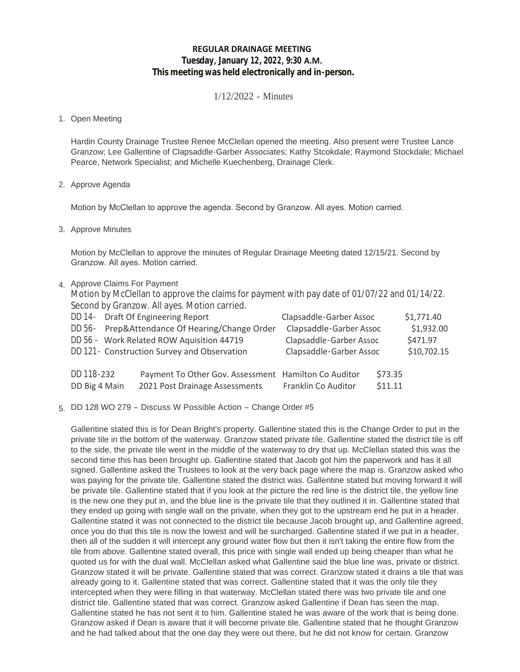# **REGULAR DRAINAGE MEETING Tuesday, January 12, 2022, 9:30 A.M. This meeting was held electronically and in-person.**

1/12/2022 - Minutes

### 1. Open Meeting

Hardin County Drainage Trustee Renee McClellan opened the meeting. Also present were Trustee Lance Granzow; Lee Gallentine of Clapsaddle-Garber Associates; Kathy Stcokdale; Raymond Stockdale; Michael Pearce, Network Specialist; and Michelle Kuechenberg, Drainage Clerk.

2. Approve Agenda

Motion by McClellan to approve the agenda. Second by Granzow. All ayes. Motion carried.

3. Approve Minutes

Motion by McClellan to approve the minutes of Regular Drainage Meeting dated 12/15/21. Second by Granzow. All ayes. Motion carried.

- 4. Approve Claims For Payment
	- Motion by McClellan to approve the claims for payment with pay date of 01/07/22 and 01/14/22. Second by Granzow. All ayes. Motion carried.

|                                             | DD 14 - Draft Of Engineering Report            |                                                                                        | Clapsaddle-Garber Assoc |                    | \$1,771.40 |
|---------------------------------------------|------------------------------------------------|----------------------------------------------------------------------------------------|-------------------------|--------------------|------------|
|                                             | DD 56- Prep&Attendance Of Hearing/Change Order |                                                                                        | Clapsaddle-Garber Assoc |                    | \$1,932.00 |
|                                             |                                                | DD 56 - Work Related ROW Aquisition 44719                                              | Clapsaddle-Garber Assoc |                    | \$471.97   |
| DD 121- Construction Survey and Observation |                                                | Clapsaddle-Garber Assoc                                                                |                         | \$10,702.15        |            |
| DD 118-232<br>DD Big 4 Main                 |                                                | Payment To Other Gov. Assessment Hamilton Co Auditor<br>2021 Post Drainage Assessments | Franklin Co Auditor     | \$73.35<br>\$11.11 |            |

5. DD 128 WO 279 - Discuss W Possible Action - Change Order #5

Gallentine stated this is for Dean Bright's property. Gallentine stated this is the Change Order to put in the private tile in the bottom of the waterway. Granzow stated private tile. Gallentine stated the district tile is off to the side, the private tile went in the middle of the waterway to dry that up. McClellan stated this was the second time this has been brought up. Gallentine stated that Jacob got him the paperwork and has it all signed. Gallentine asked the Trustees to look at the very back page where the map is. Granzow asked who was paying for the private tile. Gallentine stated the district was. Gallentine stated but moving forward it will be private tile. Gallentine stated that if you look at the picture the red line is the district tile, the yellow line is the new one they put in, and the blue line is the private tile that they outlined it in. Gallentine stated that they ended up going with single wall on the private, when they got to the upstream end he put in a header. Gallentine stated it was not connected to the district tile because Jacob brought up, and Gallentine agreed, once you do that this tile is now the lowest and will be surcharged. Gallentine stated if we put in a header, then all of the sudden it will intercept any ground water flow but then it isn't taking the entire flow from the tile from above. Gallentine stated overall, this price with single wall ended up being cheaper than what he quoted us for with the dual wall. McClellan asked what Gallentine said the blue line was, private or district. Granzow stated it will be private. Gallentine stated that was correct. Granzow stated it drains a tile that was already going to it. Gallentine stated that was correct. Gallentine stated that it was the only tile they intercepted when they were filling in that waterway. McClellan stated there was two private tile and one district tile. Gallentine stated that was correct. Granzow asked Gallentine if Dean has seen the map. Gallentine stated he has not sent it to him. Gallentine stated he was aware of the work that is being done. Granzow asked if Dean is aware that it will become private tile. Gallentine stated that he thought Granzow and he had talked about that the one day they were out there, but he did not know for certain. Granzow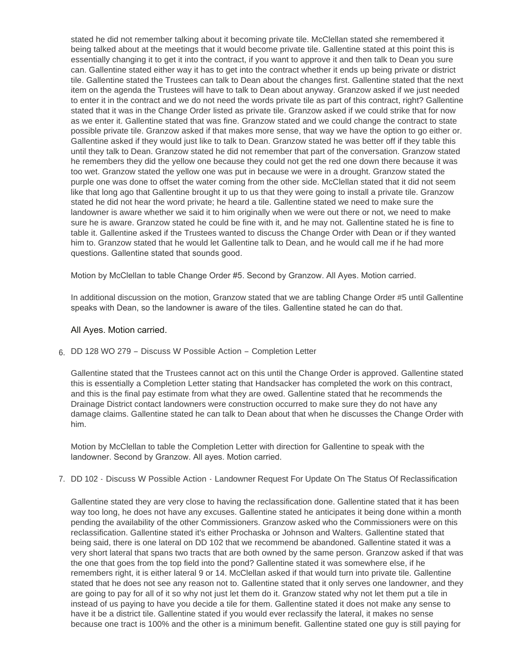stated he did not remember talking about it becoming private tile. McClellan stated she remembered it being talked about at the meetings that it would become private tile. Gallentine stated at this point this is essentially changing it to get it into the contract, if you want to approve it and then talk to Dean you sure can. Gallentine stated either way it has to get into the contract whether it ends up being private or district tile. Gallentine stated the Trustees can talk to Dean about the changes first. Gallentine stated that the next item on the agenda the Trustees will have to talk to Dean about anyway. Granzow asked if we just needed to enter it in the contract and we do not need the words private tile as part of this contract, right? Gallentine stated that it was in the Change Order listed as private tile. Granzow asked if we could strike that for now as we enter it. Gallentine stated that was fine. Granzow stated and we could change the contract to state possible private tile. Granzow asked if that makes more sense, that way we have the option to go either or. Gallentine asked if they would just like to talk to Dean. Granzow stated he was better off if they table this until they talk to Dean. Granzow stated he did not remember that part of the conversation. Granzow stated he remembers they did the yellow one because they could not get the red one down there because it was too wet. Granzow stated the yellow one was put in because we were in a drought. Granzow stated the purple one was done to offset the water coming from the other side. McClellan stated that it did not seem like that long ago that Gallentine brought it up to us that they were going to install a private tile. Granzow stated he did not hear the word private; he heard a tile. Gallentine stated we need to make sure the landowner is aware whether we said it to him originally when we were out there or not, we need to make sure he is aware. Granzow stated he could be fine with it, and he may not. Gallentine stated he is fine to table it. Gallentine asked if the Trustees wanted to discuss the Change Order with Dean or if they wanted him to. Granzow stated that he would let Gallentine talk to Dean, and he would call me if he had more questions. Gallentine stated that sounds good.

Motion by McClellan to table Change Order #5. Second by Granzow. All Ayes. Motion carried.

In additional discussion on the motion, Granzow stated that we are tabling Change Order #5 until Gallentine speaks with Dean, so the landowner is aware of the tiles. Gallentine stated he can do that.

## All Ayes. Motion carried.

6. DD 128 WO 279 - Discuss W Possible Action - Completion Letter

Gallentine stated that the Trustees cannot act on this until the Change Order is approved. Gallentine stated this is essentially a Completion Letter stating that Handsacker has completed the work on this contract, and this is the final pay estimate from what they are owed. Gallentine stated that he recommends the Drainage District contact landowners were construction occurred to make sure they do not have any damage claims. Gallentine stated he can talk to Dean about that when he discusses the Change Order with him.

Motion by McClellan to table the Completion Letter with direction for Gallentine to speak with the landowner. Second by Granzow. All ayes. Motion carried.

7. DD 102 - Discuss W Possible Action - Landowner Request For Update On The Status Of Reclassification

Gallentine stated they are very close to having the reclassification done. Gallentine stated that it has been way too long, he does not have any excuses. Gallentine stated he anticipates it being done within a month pending the availability of the other Commissioners. Granzow asked who the Commissioners were on this reclassification. Gallentine stated it's either Prochaska or Johnson and Walters. Gallentine stated that being said, there is one lateral on DD 102 that we recommend be abandoned. Gallentine stated it was a very short lateral that spans two tracts that are both owned by the same person. Granzow asked if that was the one that goes from the top field into the pond? Gallentine stated it was somewhere else, if he remembers right, it is either lateral 9 or 14. McClellan asked if that would turn into private tile. Gallentine stated that he does not see any reason not to. Gallentine stated that it only serves one landowner, and they are going to pay for all of it so why not just let them do it. Granzow stated why not let them put a tile in instead of us paying to have you decide a tile for them. Gallentine stated it does not make any sense to have it be a district tile. Gallentine stated if you would ever reclassify the lateral, it makes no sense because one tract is 100% and the other is a minimum benefit. Gallentine stated one guy is still paying for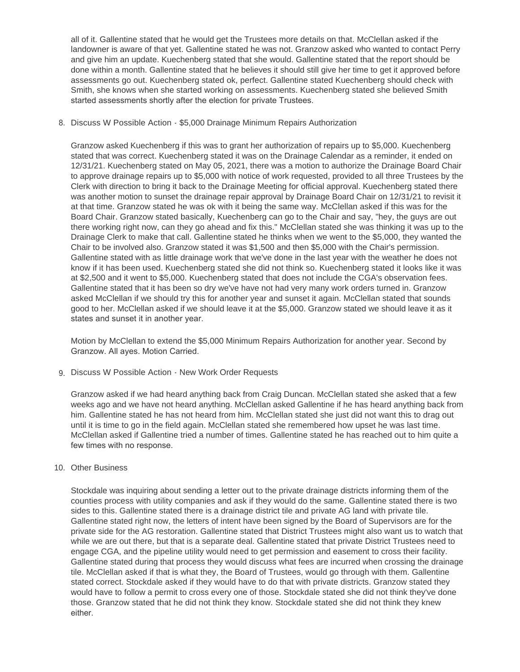all of it. Gallentine stated that he would get the Trustees more details on that. McClellan asked if the landowner is aware of that yet. Gallentine stated he was not. Granzow asked who wanted to contact Perry and give him an update. Kuechenberg stated that she would. Gallentine stated that the report should be done within a month. Gallentine stated that he believes it should still give her time to get it approved before assessments go out. Kuechenberg stated ok, perfect. Gallentine stated Kuechenberg should check with Smith, she knows when she started working on assessments. Kuechenberg stated she believed Smith started assessments shortly after the election for private Trustees.

8. Discuss W Possible Action - \$5,000 Drainage Minimum Repairs Authorization

Granzow asked Kuechenberg if this was to grant her authorization of repairs up to \$5,000. Kuechenberg stated that was correct. Kuechenberg stated it was on the Drainage Calendar as a reminder, it ended on 12/31/21. Kuechenberg stated on May 05, 2021, there was a motion to authorize the Drainage Board Chair to approve drainage repairs up to \$5,000 with notice of work requested, provided to all three Trustees by the Clerk with direction to bring it back to the Drainage Meeting for official approval. Kuechenberg stated there was another motion to sunset the drainage repair approval by Drainage Board Chair on 12/31/21 to revisit it at that time. Granzow stated he was ok with it being the same way. McClellan asked if this was for the Board Chair. Granzow stated basically, Kuechenberg can go to the Chair and say, "hey, the guys are out there working right now, can they go ahead and fix this." McClellan stated she was thinking it was up to the Drainage Clerk to make that call. Gallentine stated he thinks when we went to the \$5,000, they wanted the Chair to be involved also. Granzow stated it was \$1,500 and then \$5,000 with the Chair's permission. Gallentine stated with as little drainage work that we've done in the last year with the weather he does not know if it has been used. Kuechenberg stated she did not think so. Kuechenberg stated it looks like it was at \$2,500 and it went to \$5,000. Kuechenberg stated that does not include the CGA's observation fees. Gallentine stated that it has been so dry we've have not had very many work orders turned in. Granzow asked McClellan if we should try this for another year and sunset it again. McClellan stated that sounds good to her. McClellan asked if we should leave it at the \$5,000. Granzow stated we should leave it as it states and sunset it in another year.

Motion by McClellan to extend the \$5,000 Minimum Repairs Authorization for another year. Second by Granzow. All ayes. Motion Carried.

9. Discuss W Possible Action - New Work Order Requests

Granzow asked if we had heard anything back from Craig Duncan. McClellan stated she asked that a few weeks ago and we have not heard anything. McClellan asked Gallentine if he has heard anything back from him. Gallentine stated he has not heard from him. McClellan stated she just did not want this to drag out until it is time to go in the field again. McClellan stated she remembered how upset he was last time. McClellan asked if Gallentine tried a number of times. Gallentine stated he has reached out to him quite a few times with no response.

### 10. Other Business

Stockdale was inquiring about sending a letter out to the private drainage districts informing them of the counties process with utility companies and ask if they would do the same. Gallentine stated there is two sides to this. Gallentine stated there is a drainage district tile and private AG land with private tile. Gallentine stated right now, the letters of intent have been signed by the Board of Supervisors are for the private side for the AG restoration. Gallentine stated that District Trustees might also want us to watch that while we are out there, but that is a separate deal. Gallentine stated that private District Trustees need to engage CGA, and the pipeline utility would need to get permission and easement to cross their facility. Gallentine stated during that process they would discuss what fees are incurred when crossing the drainage tile. McClellan asked if that is what they, the Board of Trustees, would go through with them. Gallentine stated correct. Stockdale asked if they would have to do that with private districts. Granzow stated they would have to follow a permit to cross every one of those. Stockdale stated she did not think they've done those. Granzow stated that he did not think they know. Stockdale stated she did not think they knew either.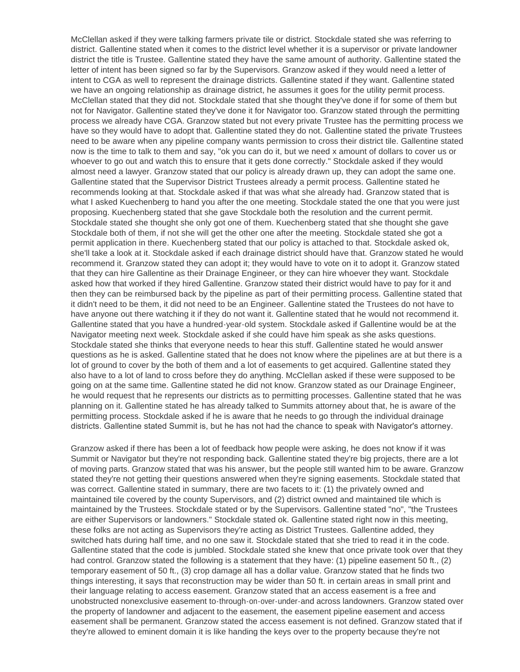McClellan asked if they were talking farmers private tile or district. Stockdale stated she was referring to district. Gallentine stated when it comes to the district level whether it is a supervisor or private landowner district the title is Trustee. Gallentine stated they have the same amount of authority. Gallentine stated the letter of intent has been signed so far by the Supervisors. Granzow asked if they would need a letter of intent to CGA as well to represent the drainage districts. Gallentine stated if they want. Gallentine stated we have an ongoing relationship as drainage district, he assumes it goes for the utility permit process. McClellan stated that they did not. Stockdale stated that she thought they've done if for some of them but not for Navigator. Gallentine stated they've done it for Navigator too. Granzow stated through the permitting process we already have CGA. Granzow stated but not every private Trustee has the permitting process we have so they would have to adopt that. Gallentine stated they do not. Gallentine stated the private Trustees need to be aware when any pipeline company wants permission to cross their district tile. Gallentine stated now is the time to talk to them and say, "ok you can do it, but we need x amount of dollars to cover us or whoever to go out and watch this to ensure that it gets done correctly." Stockdale asked if they would almost need a lawyer. Granzow stated that our policy is already drawn up, they can adopt the same one. Gallentine stated that the Supervisor District Trustees already a permit process. Gallentine stated he recommends looking at that. Stockdale asked if that was what she already had. Granzow stated that is what I asked Kuechenberg to hand you after the one meeting. Stockdale stated the one that you were just proposing. Kuechenberg stated that she gave Stockdale both the resolution and the current permit. Stockdale stated she thought she only got one of them. Kuechenberg stated that she thought she gave Stockdale both of them, if not she will get the other one after the meeting. Stockdale stated she got a permit application in there. Kuechenberg stated that our policy is attached to that. Stockdale asked ok, she'll take a look at it. Stockdale asked if each drainage district should have that. Granzow stated he would recommend it. Granzow stated they can adopt it; they would have to vote on it to adopt it. Granzow stated that they can hire Gallentine as their Drainage Engineer, or they can hire whoever they want. Stockdale asked how that worked if they hired Gallentine. Granzow stated their district would have to pay for it and then they can be reimbursed back by the pipeline as part of their permitting process. Gallentine stated that it didn't need to be them, it did not need to be an Engineer. Gallentine stated the Trustees do not have to have anyone out there watching it if they do not want it. Gallentine stated that he would not recommend it. Gallentine stated that you have a hundred-year-old system. Stockdale asked if Gallentine would be at the Navigator meeting next week. Stockdale asked if she could have him speak as she asks questions. Stockdale stated she thinks that everyone needs to hear this stuff. Gallentine stated he would answer questions as he is asked. Gallentine stated that he does not know where the pipelines are at but there is a lot of ground to cover by the both of them and a lot of easements to get acquired. Gallentine stated they also have to a lot of land to cross before they do anything. McClellan asked if these were supposed to be going on at the same time. Gallentine stated he did not know. Granzow stated as our Drainage Engineer, he would request that he represents our districts as to permitting processes. Gallentine stated that he was planning on it. Gallentine stated he has already talked to Summits attorney about that, he is aware of the permitting process. Stockdale asked if he is aware that he needs to go through the individual drainage districts. Gallentine stated Summit is, but he has not had the chance to speak with Navigator's attorney.

Granzow asked if there has been a lot of feedback how people were asking, he does not know if it was Summit or Navigator but they're not responding back. Gallentine stated they're big projects, there are a lot of moving parts. Granzow stated that was his answer, but the people still wanted him to be aware. Granzow stated they're not getting their questions answered when they're signing easements. Stockdale stated that was correct. Gallentine stated in summary, there are two facets to it: (1) the privately owned and maintained tile covered by the county Supervisors, and (2) district owned and maintained tile which is maintained by the Trustees. Stockdale stated or by the Supervisors. Gallentine stated "no", "the Trustees are either Supervisors or landowners." Stockdale stated ok. Gallentine stated right now in this meeting, these folks are not acting as Supervisors they're acting as District Trustees. Gallentine added, they switched hats during half time, and no one saw it. Stockdale stated that she tried to read it in the code. Gallentine stated that the code is jumbled. Stockdale stated she knew that once private took over that they had control. Granzow stated the following is a statement that they have: (1) pipeline easement 50 ft., (2) temporary easement of 50 ft., (3) crop damage all has a dollar value. Granzow stated that he finds two things interesting, it says that reconstruction may be wider than 50 ft. in certain areas in small print and their language relating to access easement. Granzow stated that an access easement is a free and unobstructed nonexclusive easement to-through-on-over-under-and across landowners. Granzow stated over the property of landowner and adjacent to the easement, the easement pipeline easement and access easement shall be permanent. Granzow stated the access easement is not defined. Granzow stated that if they're allowed to eminent domain it is like handing the keys over to the property because they're not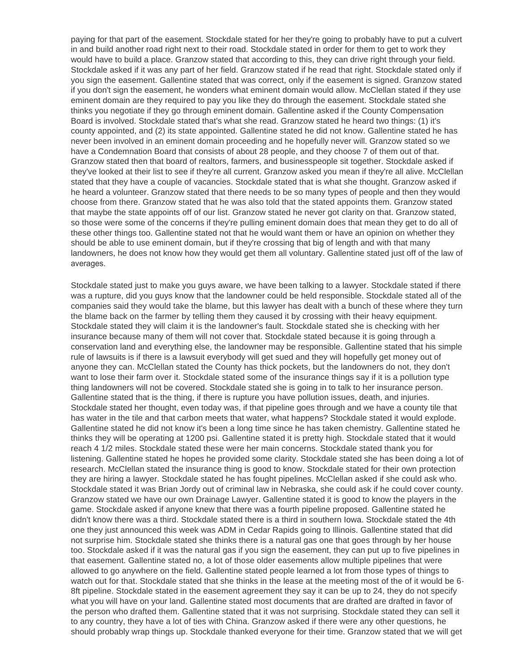paying for that part of the easement. Stockdale stated for her they're going to probably have to put a culvert in and build another road right next to their road. Stockdale stated in order for them to get to work they would have to build a place. Granzow stated that according to this, they can drive right through your field. Stockdale asked if it was any part of her field. Granzow stated if he read that right. Stockdale stated only if you sign the easement. Gallentine stated that was correct, only if the easement is signed. Granzow stated if you don't sign the easement, he wonders what eminent domain would allow. McClellan stated if they use eminent domain are they required to pay you like they do through the easement. Stockdale stated she thinks you negotiate if they go through eminent domain. Gallentine asked if the County Compensation Board is involved. Stockdale stated that's what she read. Granzow stated he heard two things: (1) it's county appointed, and (2) its state appointed. Gallentine stated he did not know. Gallentine stated he has never been involved in an eminent domain proceeding and he hopefully never will. Granzow stated so we have a Condemnation Board that consists of about 28 people, and they choose 7 of them out of that. Granzow stated then that board of realtors, farmers, and businesspeople sit together. Stockdale asked if they've looked at their list to see if they're all current. Granzow asked you mean if they're all alive. McClellan stated that they have a couple of vacancies. Stockdale stated that is what she thought. Granzow asked if he heard a volunteer. Granzow stated that there needs to be so many types of people and then they would choose from there. Granzow stated that he was also told that the stated appoints them. Granzow stated that maybe the state appoints off of our list. Granzow stated he never got clarity on that. Granzow stated, so those were some of the concerns if they're pulling eminent domain does that mean they get to do all of these other things too. Gallentine stated not that he would want them or have an opinion on whether they should be able to use eminent domain, but if they're crossing that big of length and with that many landowners, he does not know how they would get them all voluntary. Gallentine stated just off of the law of averages.

Stockdale stated just to make you guys aware, we have been talking to a lawyer. Stockdale stated if there was a rupture, did you guys know that the landowner could be held responsible. Stockdale stated all of the companies said they would take the blame, but this lawyer has dealt with a bunch of these where they turn the blame back on the farmer by telling them they caused it by crossing with their heavy equipment. Stockdale stated they will claim it is the landowner's fault. Stockdale stated she is checking with her insurance because many of them will not cover that. Stockdale stated because it is going through a conservation land and everything else, the landowner may be responsible. Gallentine stated that his simple rule of lawsuits is if there is a lawsuit everybody will get sued and they will hopefully get money out of anyone they can. McClellan stated the County has thick pockets, but the landowners do not, they don't want to lose their farm over it. Stockdale stated some of the insurance things say if it is a pollution type thing landowners will not be covered. Stockdale stated she is going in to talk to her insurance person. Gallentine stated that is the thing, if there is rupture you have pollution issues, death, and injuries. Stockdale stated her thought, even today was, if that pipeline goes through and we have a county tile that has water in the tile and that carbon meets that water, what happens? Stockdale stated it would explode. Gallentine stated he did not know it's been a long time since he has taken chemistry. Gallentine stated he thinks they will be operating at 1200 psi. Gallentine stated it is pretty high. Stockdale stated that it would reach 4 1/2 miles. Stockdale stated these were her main concerns. Stockdale stated thank you for listening. Gallentine stated he hopes he provided some clarity. Stockdale stated she has been doing a lot of research. McClellan stated the insurance thing is good to know. Stockdale stated for their own protection they are hiring a lawyer. Stockdale stated he has fought pipelines. McClellan asked if she could ask who. Stockdale stated it was Brian Jordy out of criminal law in Nebraska, she could ask if he could cover county. Granzow stated we have our own Drainage Lawyer. Gallentine stated it is good to know the players in the game. Stockdale asked if anyone knew that there was a fourth pipeline proposed. Gallentine stated he didn't know there was a third. Stockdale stated there is a third in southern Iowa. Stockdale stated the 4th one they just announced this week was ADM in Cedar Rapids going to Illinois. Gallentine stated that did not surprise him. Stockdale stated she thinks there is a natural gas one that goes through by her house too. Stockdale asked if it was the natural gas if you sign the easement, they can put up to five pipelines in that easement. Gallentine stated no, a lot of those older easements allow multiple pipelines that were allowed to go anywhere on the field. Gallentine stated people learned a lot from those types of things to watch out for that. Stockdale stated that she thinks in the lease at the meeting most of the of it would be 6- 8ft pipeline. Stockdale stated in the easement agreement they say it can be up to 24, they do not specify what you will have on your land. Gallentine stated most documents that are drafted are drafted in favor of the person who drafted them. Gallentine stated that it was not surprising. Stockdale stated they can sell it to any country, they have a lot of ties with China. Granzow asked if there were any other questions, he should probably wrap things up. Stockdale thanked everyone for their time. Granzow stated that we will get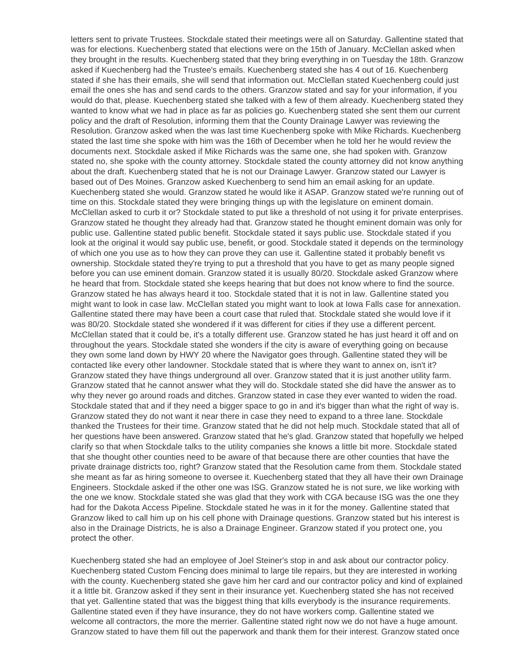letters sent to private Trustees. Stockdale stated their meetings were all on Saturday. Gallentine stated that was for elections. Kuechenberg stated that elections were on the 15th of January. McClellan asked when they brought in the results. Kuechenberg stated that they bring everything in on Tuesday the 18th. Granzow asked if Kuechenberg had the Trustee's emails. Kuechenberg stated she has 4 out of 16. Kuechenberg stated if she has their emails, she will send that information out. McClellan stated Kuechenberg could just email the ones she has and send cards to the others. Granzow stated and say for your information, if you would do that, please. Kuechenberg stated she talked with a few of them already. Kuechenberg stated they wanted to know what we had in place as far as policies go. Kuechenberg stated she sent them our current policy and the draft of Resolution, informing them that the County Drainage Lawyer was reviewing the Resolution. Granzow asked when the was last time Kuechenberg spoke with Mike Richards. Kuechenberg stated the last time she spoke with him was the 16th of December when he told her he would review the documents next. Stockdale asked if Mike Richards was the same one, she had spoken with. Granzow stated no, she spoke with the county attorney. Stockdale stated the county attorney did not know anything about the draft. Kuechenberg stated that he is not our Drainage Lawyer. Granzow stated our Lawyer is based out of Des Moines. Granzow asked Kuechenberg to send him an email asking for an update. Kuechenberg stated she would. Granzow stated he would like it ASAP. Granzow stated we're running out of time on this. Stockdale stated they were bringing things up with the legislature on eminent domain. McClellan asked to curb it or? Stockdale stated to put like a threshold of not using it for private enterprises. Granzow stated he thought they already had that. Granzow stated he thought eminent domain was only for public use. Gallentine stated public benefit. Stockdale stated it says public use. Stockdale stated if you look at the original it would say public use, benefit, or good. Stockdale stated it depends on the terminology of which one you use as to how they can prove they can use it. Gallentine stated it probably benefit vs ownership. Stockdale stated they're trying to put a threshold that you have to get as many people signed before you can use eminent domain. Granzow stated it is usually 80/20. Stockdale asked Granzow where he heard that from. Stockdale stated she keeps hearing that but does not know where to find the source. Granzow stated he has always heard it too. Stockdale stated that it is not in law. Gallentine stated you might want to look in case law. McClellan stated you might want to look at Iowa Falls case for annexation. Gallentine stated there may have been a court case that ruled that. Stockdale stated she would love if it was 80/20. Stockdale stated she wondered if it was different for cities if they use a different percent. McClellan stated that it could be, it's a totally different use. Granzow stated he has just heard it off and on throughout the years. Stockdale stated she wonders if the city is aware of everything going on because they own some land down by HWY 20 where the Navigator goes through. Gallentine stated they will be contacted like every other landowner. Stockdale stated that is where they want to annex on, isn't it? Granzow stated they have things underground all over. Granzow stated that it is just another utility farm. Granzow stated that he cannot answer what they will do. Stockdale stated she did have the answer as to why they never go around roads and ditches. Granzow stated in case they ever wanted to widen the road. Stockdale stated that and if they need a bigger space to go in and it's bigger than what the right of way is. Granzow stated they do not want it near there in case they need to expand to a three lane. Stockdale thanked the Trustees for their time. Granzow stated that he did not help much. Stockdale stated that all of her questions have been answered. Granzow stated that he's glad. Granzow stated that hopefully we helped clarify so that when Stockdale talks to the utility companies she knows a little bit more. Stockdale stated that she thought other counties need to be aware of that because there are other counties that have the private drainage districts too, right? Granzow stated that the Resolution came from them. Stockdale stated she meant as far as hiring someone to oversee it. Kuechenberg stated that they all have their own Drainage Engineers. Stockdale asked if the other one was ISG. Granzow stated he is not sure, we like working with the one we know. Stockdale stated she was glad that they work with CGA because ISG was the one they had for the Dakota Access Pipeline. Stockdale stated he was in it for the money. Gallentine stated that Granzow liked to call him up on his cell phone with Drainage questions. Granzow stated but his interest is also in the Drainage Districts, he is also a Drainage Engineer. Granzow stated if you protect one, you protect the other.

Kuechenberg stated she had an employee of Joel Steiner's stop in and ask about our contractor policy. Kuechenberg stated Custom Fencing does minimal to large tile repairs, but they are interested in working with the county. Kuechenberg stated she gave him her card and our contractor policy and kind of explained it a little bit. Granzow asked if they sent in their insurance yet. Kuechenberg stated she has not received that yet. Gallentine stated that was the biggest thing that kills everybody is the insurance requirements. Gallentine stated even if they have insurance, they do not have workers comp. Gallentine stated we welcome all contractors, the more the merrier. Gallentine stated right now we do not have a huge amount. Granzow stated to have them fill out the paperwork and thank them for their interest. Granzow stated once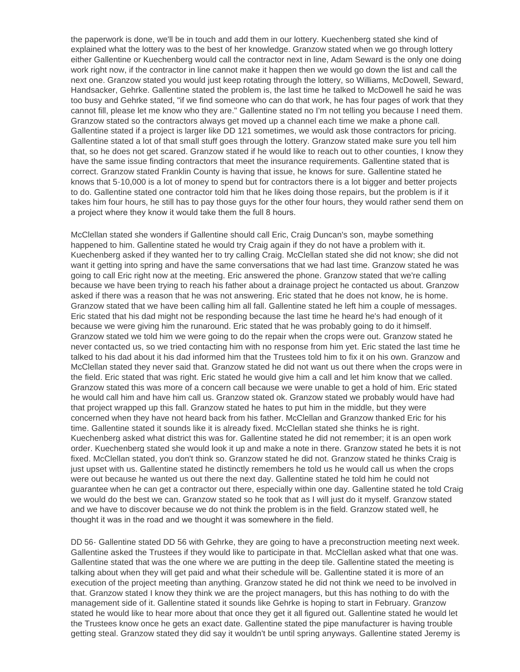the paperwork is done, we'll be in touch and add them in our lottery. Kuechenberg stated she kind of explained what the lottery was to the best of her knowledge. Granzow stated when we go through lottery either Gallentine or Kuechenberg would call the contractor next in line, Adam Seward is the only one doing work right now, if the contractor in line cannot make it happen then we would go down the list and call the next one. Granzow stated you would just keep rotating through the lottery, so Williams, McDowell, Seward, Handsacker, Gehrke. Gallentine stated the problem is, the last time he talked to McDowell he said he was too busy and Gehrke stated, "if we find someone who can do that work, he has four pages of work that they cannot fill, please let me know who they are." Gallentine stated no I'm not telling you because I need them. Granzow stated so the contractors always get moved up a channel each time we make a phone call. Gallentine stated if a project is larger like DD 121 sometimes, we would ask those contractors for pricing. Gallentine stated a lot of that small stuff goes through the lottery. Granzow stated make sure you tell him that, so he does not get scared. Granzow stated if he would like to reach out to other counties, I know they have the same issue finding contractors that meet the insurance requirements. Gallentine stated that is correct. Granzow stated Franklin County is having that issue, he knows for sure. Gallentine stated he knows that 5-10,000 is a lot of money to spend but for contractors there is a lot bigger and better projects to do. Gallentine stated one contractor told him that he likes doing those repairs, but the problem is if it takes him four hours, he still has to pay those guys for the other four hours, they would rather send them on a project where they know it would take them the full 8 hours.

McClellan stated she wonders if Gallentine should call Eric, Craig Duncan's son, maybe something happened to him. Gallentine stated he would try Craig again if they do not have a problem with it. Kuechenberg asked if they wanted her to try calling Craig. McClellan stated she did not know; she did not want it getting into spring and have the same conversations that we had last time. Granzow stated he was going to call Eric right now at the meeting. Eric answered the phone. Granzow stated that we're calling because we have been trying to reach his father about a drainage project he contacted us about. Granzow asked if there was a reason that he was not answering. Eric stated that he does not know, he is home. Granzow stated that we have been calling him all fall. Gallentine stated he left him a couple of messages. Eric stated that his dad might not be responding because the last time he heard he's had enough of it because we were giving him the runaround. Eric stated that he was probably going to do it himself. Granzow stated we told him we were going to do the repair when the crops were out. Granzow stated he never contacted us, so we tried contacting him with no response from him yet. Eric stated the last time he talked to his dad about it his dad informed him that the Trustees told him to fix it on his own. Granzow and McClellan stated they never said that. Granzow stated he did not want us out there when the crops were in the field. Eric stated that was right. Eric stated he would give him a call and let him know that we called. Granzow stated this was more of a concern call because we were unable to get a hold of him. Eric stated he would call him and have him call us. Granzow stated ok. Granzow stated we probably would have had that project wrapped up this fall. Granzow stated he hates to put him in the middle, but they were concerned when they have not heard back from his father. McClellan and Granzow thanked Eric for his time. Gallentine stated it sounds like it is already fixed. McClellan stated she thinks he is right. Kuechenberg asked what district this was for. Gallentine stated he did not remember; it is an open work order. Kuechenberg stated she would look it up and make a note in there. Granzow stated he bets it is not fixed. McClellan stated, you don't think so. Granzow stated he did not. Granzow stated he thinks Craig is just upset with us. Gallentine stated he distinctly remembers he told us he would call us when the crops were out because he wanted us out there the next day. Gallentine stated he told him he could not guarantee when he can get a contractor out there, especially within one day. Gallentine stated he told Craig we would do the best we can. Granzow stated so he took that as I will just do it myself. Granzow stated and we have to discover because we do not think the problem is in the field. Granzow stated well, he thought it was in the road and we thought it was somewhere in the field.

DD 56- Gallentine stated DD 56 with Gehrke, they are going to have a preconstruction meeting next week. Gallentine asked the Trustees if they would like to participate in that. McClellan asked what that one was. Gallentine stated that was the one where we are putting in the deep tile. Gallentine stated the meeting is talking about when they will get paid and what their schedule will be. Gallentine stated it is more of an execution of the project meeting than anything. Granzow stated he did not think we need to be involved in that. Granzow stated I know they think we are the project managers, but this has nothing to do with the management side of it. Gallentine stated it sounds like Gehrke is hoping to start in February. Granzow stated he would like to hear more about that once they get it all figured out. Gallentine stated he would let the Trustees know once he gets an exact date. Gallentine stated the pipe manufacturer is having trouble getting steal. Granzow stated they did say it wouldn't be until spring anyways. Gallentine stated Jeremy is